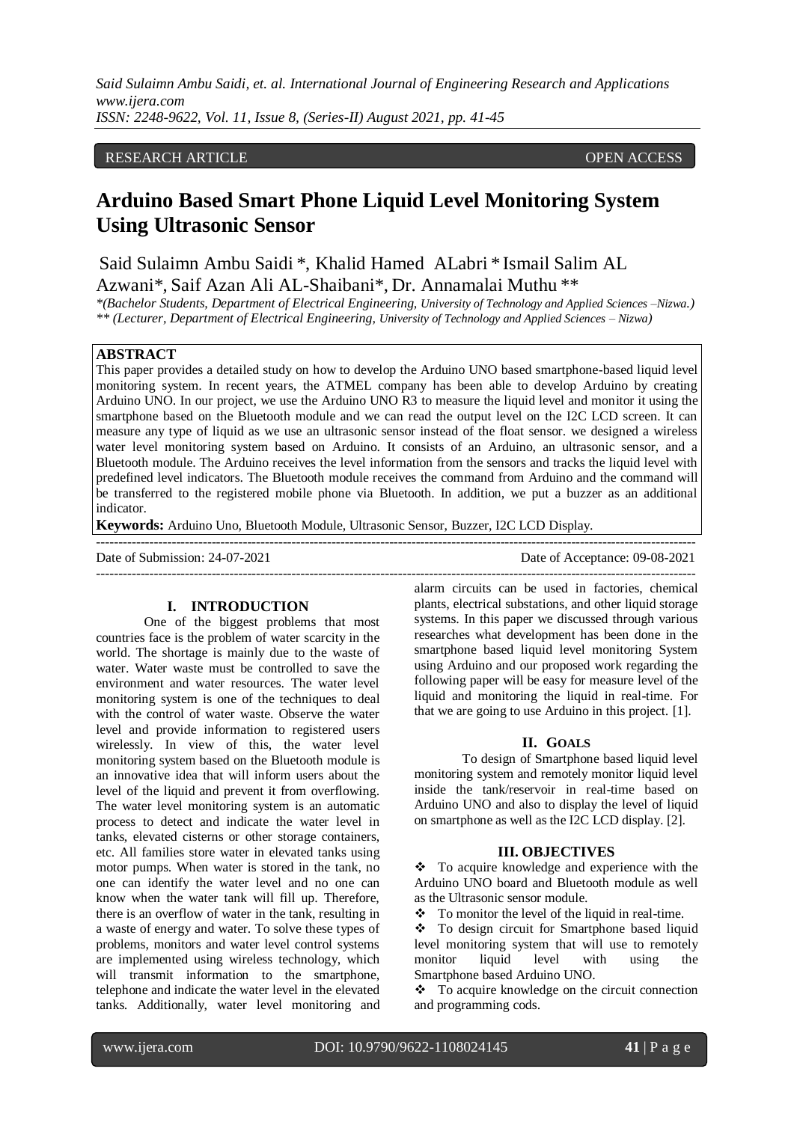## RESEARCH ARTICLE **CONSERVERS** OPEN ACCESS

# **Arduino Based Smart Phone Liquid Level Monitoring System Using Ultrasonic Sensor**

Said Sulaimn Ambu Saidi \*, Khalid Hamed ALabri \* Ismail Salim AL Azwani\*, Saif Azan Ali AL-Shaibani\*, Dr. Annamalai Muthu \*\*

*\*(Bachelor Students, Department of Electrical Engineering, University of Technology and Applied Sciences –Nizwa.) \*\* (Lecturer, Department of Electrical Engineering, University of Technology and Applied Sciences – Nizwa)*

## **ABSTRACT**

This paper provides a detailed study on how to develop the Arduino UNO based smartphone-based liquid level monitoring system. In recent years, the ATMEL company has been able to develop Arduino by creating Arduino UNO. In our project, we use the Arduino UNO R3 to measure the liquid level and monitor it using the smartphone based on the Bluetooth module and we can read the output level on the I2C LCD screen. It can measure any type of liquid as we use an ultrasonic sensor instead of the float sensor. we designed a wireless water level monitoring system based on Arduino. It consists of an Arduino, an ultrasonic sensor, and a Bluetooth module. The Arduino receives the level information from the sensors and tracks the liquid level with predefined level indicators. The Bluetooth module receives the command from Arduino and the command will be transferred to the registered mobile phone via Bluetooth. In addition, we put a buzzer as an additional indicator.

---------------------------------------------------------------------------------------------------------------------------------------

---------------------------------------------------------------------------------------------------------------------------------------

**Keywords:** Arduino Uno, Bluetooth Module, Ultrasonic Sensor, Buzzer, I2C LCD Display.

Date of Submission: 24-07-2021 Date of Acceptance: 09-08-2021

## **I. INTRODUCTION**

One of the biggest problems that most countries face is the problem of water scarcity in the world. The shortage is mainly due to the waste of water. Water waste must be controlled to save the environment and water resources. The water level monitoring system is one of the techniques to deal with the control of water waste. Observe the water level and provide information to registered users wirelessly. In view of this, the water level monitoring system based on the Bluetooth module is an innovative idea that will inform users about the level of the liquid and prevent it from overflowing. The water level monitoring system is an automatic process to detect and indicate the water level in tanks, elevated cisterns or other storage containers, etc. All families store water in elevated tanks using motor pumps. When water is stored in the tank, no one can identify the water level and no one can know when the water tank will fill up. Therefore, there is an overflow of water in the tank, resulting in a waste of energy and water. To solve these types of problems, monitors and water level control systems are implemented using wireless technology, which will transmit information to the smartphone, telephone and indicate the water level in the elevated tanks. Additionally, water level monitoring and

alarm circuits can be used in factories, chemical plants, electrical substations, and other liquid storage systems. In this paper we discussed through various researches what development has been done in the smartphone based liquid level monitoring System using Arduino and our proposed work regarding the following paper will be easy for measure level of the liquid and monitoring the liquid in real-time. For that we are going to use Arduino in this project. [1].

#### **II. GOALS**

To design of Smartphone based liquid level monitoring system and remotely monitor liquid level inside the tank/reservoir in real-time based on Arduino UNO and also to display the level of liquid on smartphone as well as the I2C LCD display. [2].

## **III. OBJECTIVES**

 To acquire knowledge and experience with the Arduino UNO board and Bluetooth module as well as the Ultrasonic sensor module.

 $\div$  To monitor the level of the liquid in real-time.

\* To design circuit for Smartphone based liquid level monitoring system that will use to remotely monitor liquid level with using the Smartphone based Arduino UNO.

 To acquire knowledge on the circuit connection and programming cods.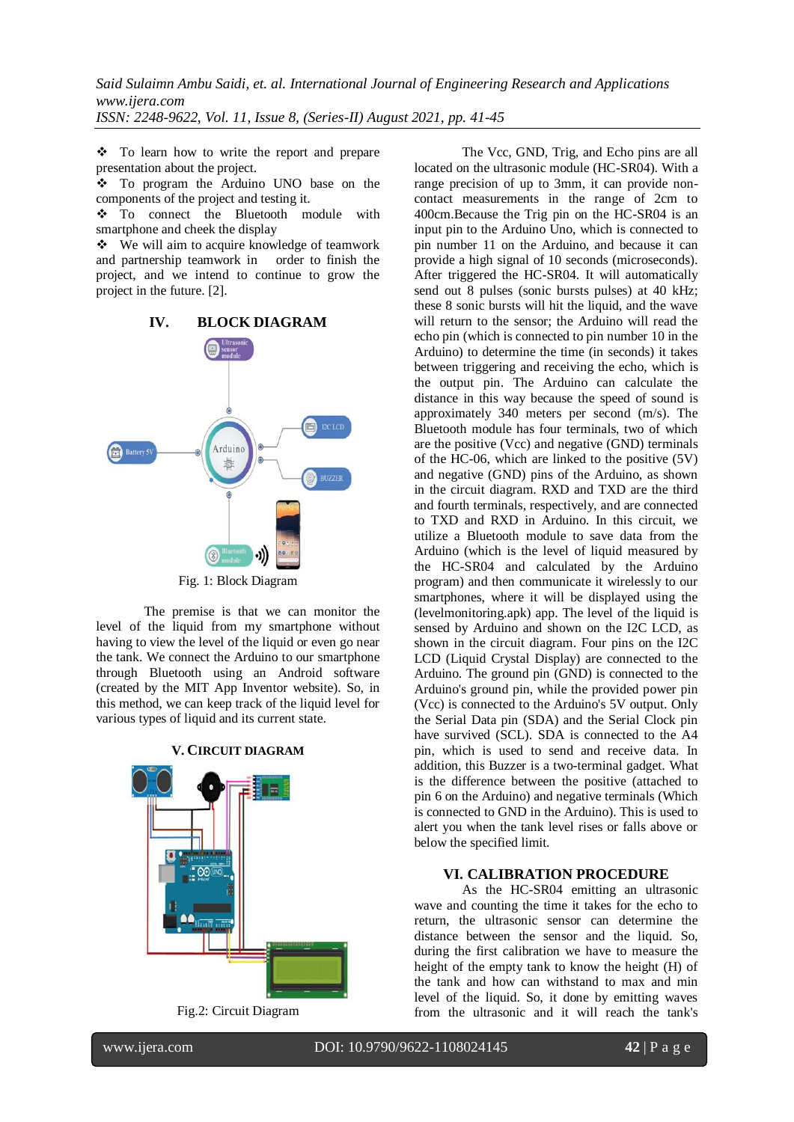To learn how to write the report and prepare presentation about the project.

 To program the Arduino UNO base on the components of the project and testing it.

 To connect the Bluetooth module with smartphone and cheek the display

 We will aim to acquire knowledge of teamwork and partnership teamwork in order to finish the project, and we intend to continue to grow the project in the future. [2].



The premise is that we can monitor the level of the liquid from my smartphone without having to view the level of the liquid or even go near the tank. We connect the Arduino to our smartphone through Bluetooth using an Android software (created by the MIT App Inventor website). So, in this method, we can keep track of the liquid level for various types of liquid and its current state.



Fig.2: Circuit Diagram

The Vcc, GND, Trig, and Echo pins are all located on the ultrasonic module (HC-SR04). With a range precision of up to 3mm, it can provide noncontact measurements in the range of 2cm to 400cm.Because the Trig pin on the HC-SR04 is an input pin to the Arduino Uno, which is connected to pin number 11 on the Arduino, and because it can provide a high signal of 10 seconds (microseconds). After triggered the HC-SR04. It will automatically send out 8 pulses (sonic bursts pulses) at 40 kHz; these 8 sonic bursts will hit the liquid, and the wave will return to the sensor; the Arduino will read the echo pin (which is connected to pin number 10 in the Arduino) to determine the time (in seconds) it takes between triggering and receiving the echo, which is the output pin. The Arduino can calculate the distance in this way because the speed of sound is approximately 340 meters per second (m/s). The Bluetooth module has four terminals, two of which are the positive (Vcc) and negative (GND) terminals of the HC-06, which are linked to the positive (5V) and negative (GND) pins of the Arduino, as shown in the circuit diagram. RXD and TXD are the third and fourth terminals, respectively, and are connected to TXD and RXD in Arduino. In this circuit, we utilize a Bluetooth module to save data from the Arduino (which is the level of liquid measured by the HC-SR04 and calculated by the Arduino program) and then communicate it wirelessly to our smartphones, where it will be displayed using the (levelmonitoring.apk) app. The level of the liquid is sensed by Arduino and shown on the I2C LCD, as shown in the circuit diagram. Four pins on the I2C LCD (Liquid Crystal Display) are connected to the Arduino. The ground pin (GND) is connected to the Arduino's ground pin, while the provided power pin (Vcc) is connected to the Arduino's 5V output. Only the Serial Data pin (SDA) and the Serial Clock pin have survived (SCL). SDA is connected to the A4 pin, which is used to send and receive data. In addition, this Buzzer is a two-terminal gadget. What is the difference between the positive (attached to pin 6 on the Arduino) and negative terminals (Which is connected to GND in the Arduino). This is used to alert you when the tank level rises or falls above or below the specified limit.

## **VI. CALIBRATION PROCEDURE**

As the HC-SR04 emitting an ultrasonic wave and counting the time it takes for the echo to return, the ultrasonic sensor can determine the distance between the sensor and the liquid. So, during the first calibration we have to measure the height of the empty tank to know the height (H) of the tank and how can withstand to max and min level of the liquid. So, it done by emitting waves from the ultrasonic and it will reach the tank's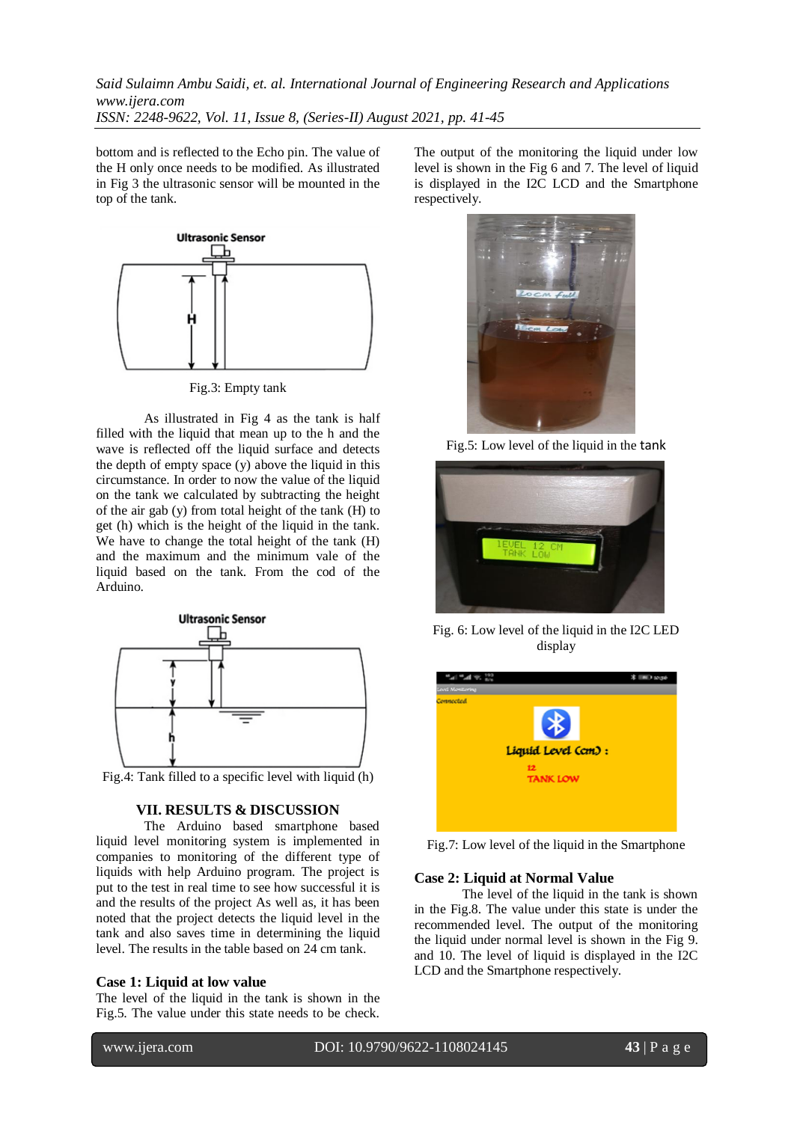bottom and is reflected to the Echo pin. The value of the H only once needs to be modified. As illustrated in Fig 3 the ultrasonic sensor will be mounted in the top of the tank.



Fig.3: Empty tank

As illustrated in Fig 4 as the tank is half filled with the liquid that mean up to the h and the wave is reflected off the liquid surface and detects the depth of empty space  $(y)$  above the liquid in this circumstance. In order to now the value of the liquid on the tank we calculated by subtracting the height of the air gab (y) from total height of the tank (H) to get (h) which is the height of the liquid in the tank. We have to change the total height of the tank (H) and the maximum and the minimum vale of the liquid based on the tank. From the cod of the Arduino.



Fig.4: Tank filled to a specific level with liquid (h)

## **VII. RESULTS & DISCUSSION**

The Arduino based smartphone based liquid level monitoring system is implemented in companies to monitoring of the different type of liquids with help Arduino program. The project is put to the test in real time to see how successful it is and the results of the project As well as, it has been noted that the project detects the liquid level in the tank and also saves time in determining the liquid level. The results in the table based on 24 cm tank.

## **Case 1: Liquid at low value**

The level of the liquid in the tank is shown in the Fig.5. The value under this state needs to be check.

The output of the monitoring the liquid under low level is shown in the Fig 6 and 7. The level of liquid is displayed in the I2C LCD and the Smartphone respectively.



Fig.5: Low level of the liquid in the tank



Fig. 6: Low level of the liquid in the I2C LED display



Fig.7: Low level of the liquid in the Smartphone

### **Case 2: Liquid at Normal Value**

The level of the liquid in the tank is shown in the Fig.8. The value under this state is under the recommended level. The output of the monitoring the liquid under normal level is shown in the Fig 9. and 10. The level of liquid is displayed in the I2C LCD and the Smartphone respectively.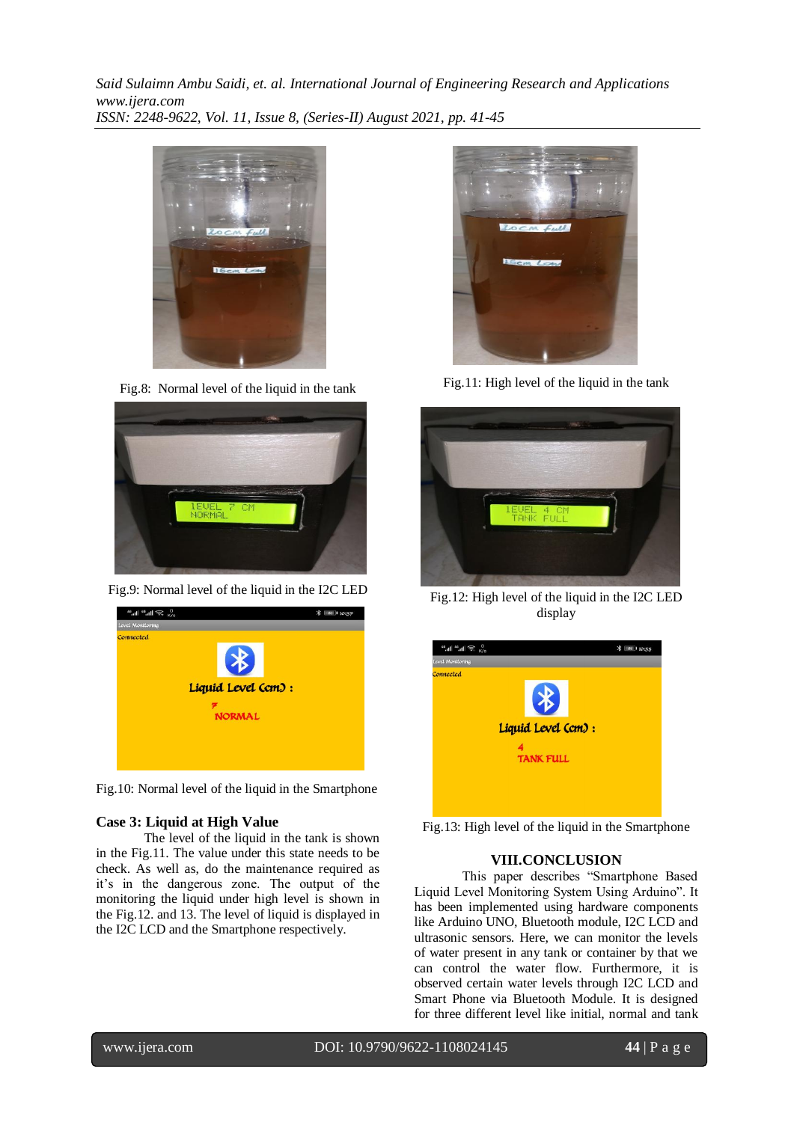

Fig.8: Normal level of the liquid in the tank



Fig.9: Normal level of the liquid in the I2C LED



Fig.10: Normal level of the liquid in the Smartphone

## **Case 3: Liquid at High Value**

The level of the liquid in the tank is shown in the Fig.11. The value under this state needs to be check. As well as, do the maintenance required as it's in the dangerous zone. The output of the monitoring the liquid under high level is shown in the Fig.12. and 13. The level of liquid is displayed in the I2C LCD and the Smartphone respectively.



Fig.11: High level of the liquid in the tank



Fig.12: High level of the liquid in the I2C LED display

| $\frac{0}{K/s}$<br>"" 言" 言" | <b>* 81 10:35</b> |
|-----------------------------|-------------------|
| Level Monitoring            |                   |
| Connected                   |                   |
|                             |                   |
|                             |                   |
|                             |                   |
| Liquid Level (cm) :         |                   |
|                             |                   |
| <b>TANK FULL</b>            |                   |
|                             |                   |
|                             |                   |
|                             |                   |
|                             |                   |

Fig.13: High level of the liquid in the Smartphone

### **VIII.CONCLUSION**

This paper describes "Smartphone Based Liquid Level Monitoring System Using Arduino". It has been implemented using hardware components like Arduino UNO, Bluetooth module, I2C LCD and ultrasonic sensors. Here, we can monitor the levels of water present in any tank or container by that we can control the water flow. Furthermore, it is observed certain water levels through I2C LCD and Smart Phone via Bluetooth Module. It is designed for three different level like initial, normal and tank